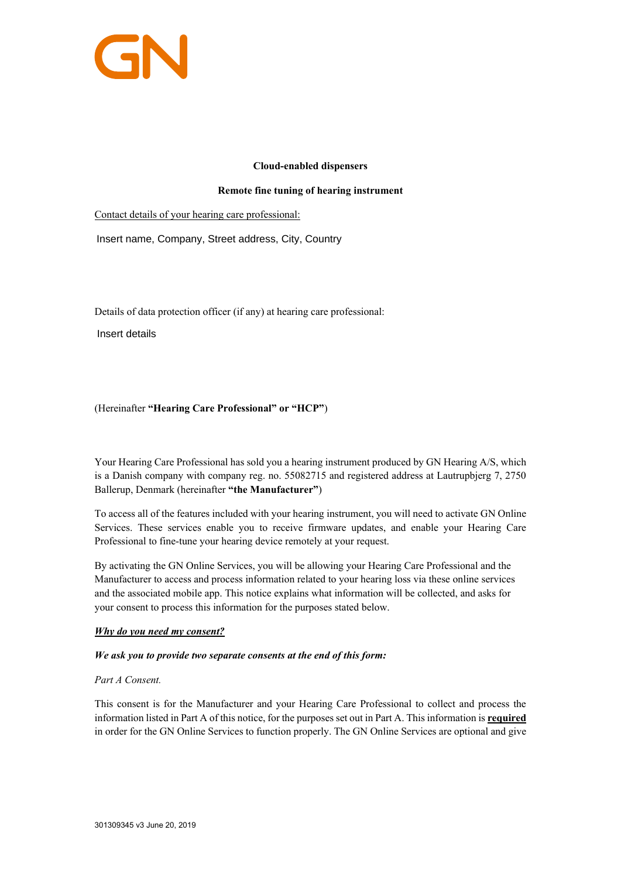

### **Cloud-enabled dispensers**

### **Remote fine tuning of hearing instrument**

Contact details of your hearing care professional:

Insert name, Company, Street address, City, Country

Details of data protection officer (if any) at hearing care professional:

Insert details

# (Hereinafter **"Hearing Care Professional" or "HCP"**)

Your Hearing Care Professional has sold you a hearing instrument produced by GN Hearing A/S, which is a Danish company with company reg. no. 55082715 and registered address at Lautrupbjerg 7, 2750 Ballerup, Denmark (hereinafter **"the Manufacturer"**)

To access all of the features included with your hearing instrument, you will need to activate GN Online Services. These services enable you to receive firmware updates, and enable your Hearing Care Professional to fine-tune your hearing device remotely at your request.

By activating the GN Online Services, you will be allowing your Hearing Care Professional and the Manufacturer to access and process information related to your hearing loss via these online services and the associated mobile app. This notice explains what information will be collected, and asks for your consent to process this information for the purposes stated below.

# *Why do you need my consent?*

### *We ask you to provide two separate consents at the end of this form:*

# *Part A Consent.*

This consent is for the Manufacturer and your Hearing Care Professional to collect and process the information listed in Part A of this notice, for the purposes set out in Part A. This information is **required** in order for the GN Online Services to function properly. The GN Online Services are optional and give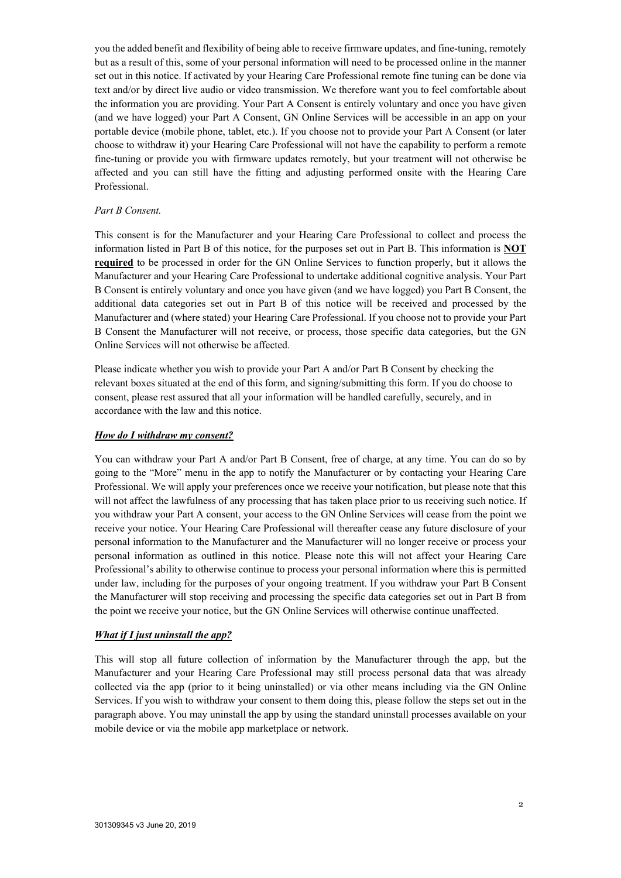you the added benefit and flexibility of being able to receive firmware updates, and fine-tuning, remotely but as a result of this, some of your personal information will need to be processed online in the manner set out in this notice. If activated by your Hearing Care Professional remote fine tuning can be done via text and/or by direct live audio or video transmission. We therefore want you to feel comfortable about the information you are providing. Your Part A Consent is entirely voluntary and once you have given (and we have logged) your Part A Consent, GN Online Services will be accessible in an app on your portable device (mobile phone, tablet, etc.). If you choose not to provide your Part A Consent (or later choose to withdraw it) your Hearing Care Professional will not have the capability to perform a remote fine-tuning or provide you with firmware updates remotely, but your treatment will not otherwise be affected and you can still have the fitting and adjusting performed onsite with the Hearing Care Professional.

#### *Part B Consent.*

This consent is for the Manufacturer and your Hearing Care Professional to collect and process the information listed in Part B of this notice, for the purposes set out in Part B. This information is **NOT required** to be processed in order for the GN Online Services to function properly, but it allows the Manufacturer and your Hearing Care Professional to undertake additional cognitive analysis. Your Part B Consent is entirely voluntary and once you have given (and we have logged) you Part B Consent, the additional data categories set out in Part B of this notice will be received and processed by the Manufacturer and (where stated) your Hearing Care Professional. If you choose not to provide your Part B Consent the Manufacturer will not receive, or process, those specific data categories, but the GN Online Services will not otherwise be affected.

Please indicate whether you wish to provide your Part A and/or Part B Consent by checking the relevant boxes situated at the end of this form, and signing/submitting this form. If you do choose to consent, please rest assured that all your information will be handled carefully, securely, and in accordance with the law and this notice.

#### *How do I withdraw my consent?*

You can withdraw your Part A and/or Part B Consent, free of charge, at any time. You can do so by going to the "More" menu in the app to notify the Manufacturer or by contacting your Hearing Care Professional. We will apply your preferences once we receive your notification, but please note that this will not affect the lawfulness of any processing that has taken place prior to us receiving such notice. If you withdraw your Part A consent, your access to the GN Online Services will cease from the point we receive your notice. Your Hearing Care Professional will thereafter cease any future disclosure of your personal information to the Manufacturer and the Manufacturer will no longer receive or process your personal information as outlined in this notice. Please note this will not affect your Hearing Care Professional's ability to otherwise continue to process your personal information where this is permitted under law, including for the purposes of your ongoing treatment. If you withdraw your Part B Consent the Manufacturer will stop receiving and processing the specific data categories set out in Part B from the point we receive your notice, but the GN Online Services will otherwise continue unaffected.

#### *What if I just uninstall the app?*

This will stop all future collection of information by the Manufacturer through the app, but the Manufacturer and your Hearing Care Professional may still process personal data that was already collected via the app (prior to it being uninstalled) or via other means including via the GN Online Services. If you wish to withdraw your consent to them doing this, please follow the steps set out in the paragraph above. You may uninstall the app by using the standard uninstall processes available on your mobile device or via the mobile app marketplace or network.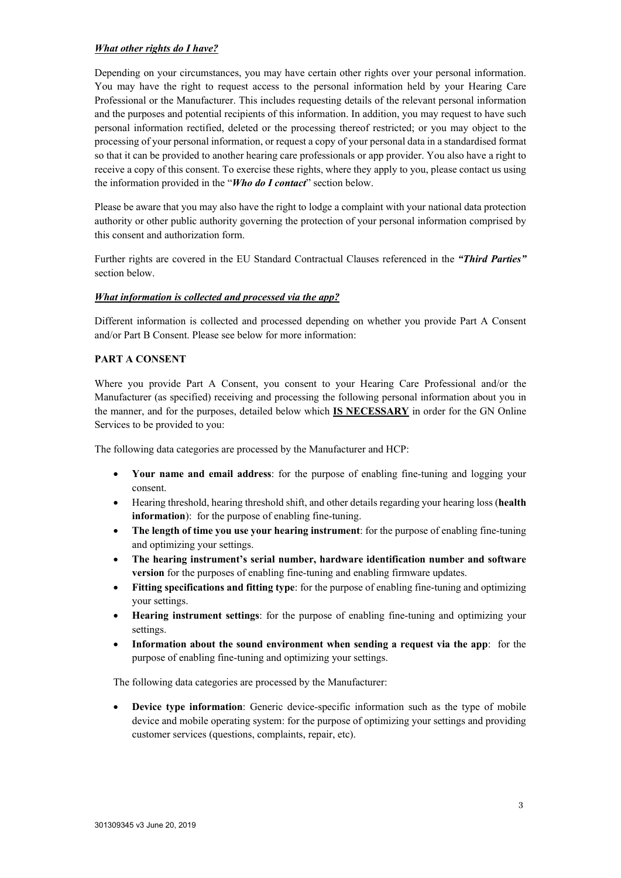## *What other rights do I have?*

Depending on your circumstances, you may have certain other rights over your personal information. You may have the right to request access to the personal information held by your Hearing Care Professional or the Manufacturer. This includes requesting details of the relevant personal information and the purposes and potential recipients of this information. In addition, you may request to have such personal information rectified, deleted or the processing thereof restricted; or you may object to the processing of your personal information, or request a copy of your personal data in a standardised format so that it can be provided to another hearing care professionals or app provider. You also have a right to receive a copy of this consent. To exercise these rights, where they apply to you, please contact us using the information provided in the "*Who do I contact*" section below.

Please be aware that you may also have the right to lodge a complaint with your national data protection authority or other public authority governing the protection of your personal information comprised by this consent and authorization form.

Further rights are covered in the EU Standard Contractual Clauses referenced in the *"Third Parties"* section below.

### *What information is collected and processed via the app?*

Different information is collected and processed depending on whether you provide Part A Consent and/or Part B Consent. Please see below for more information:

## **PART A CONSENT**

Where you provide Part A Consent, you consent to your Hearing Care Professional and/or the Manufacturer (as specified) receiving and processing the following personal information about you in the manner, and for the purposes, detailed below which **IS NECESSARY** in order for the GN Online Services to be provided to you:

The following data categories are processed by the Manufacturer and HCP:

- **Your name and email address**: for the purpose of enabling fine-tuning and logging your consent.
- Hearing threshold, hearing threshold shift, and other details regarding your hearing loss (**health information**): for the purpose of enabling fine-tuning.
- **The length of time you use your hearing instrument**: for the purpose of enabling fine-tuning and optimizing your settings.
- **The hearing instrument's serial number, hardware identification number and software version** for the purposes of enabling fine-tuning and enabling firmware updates.
- **Fitting specifications and fitting type**: for the purpose of enabling fine-tuning and optimizing your settings.
- **Hearing instrument settings**: for the purpose of enabling fine-tuning and optimizing your settings.
- **Information about the sound environment when sending a request via the app**: for the purpose of enabling fine-tuning and optimizing your settings.

The following data categories are processed by the Manufacturer:

**Device type information**: Generic device-specific information such as the type of mobile device and mobile operating system: for the purpose of optimizing your settings and providing customer services (questions, complaints, repair, etc).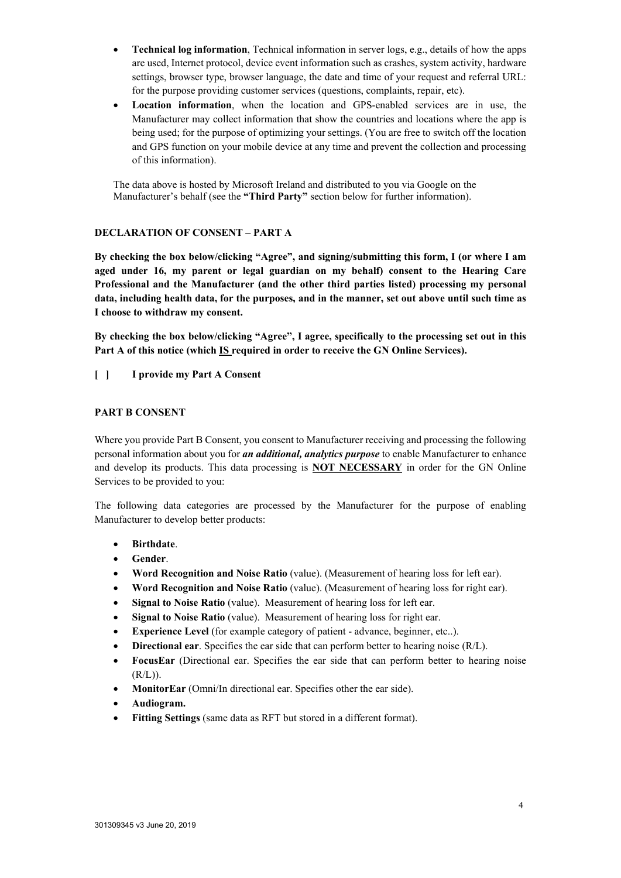- **Technical log information**, Technical information in server logs, e.g., details of how the apps are used, Internet protocol, device event information such as crashes, system activity, hardware settings, browser type, browser language, the date and time of your request and referral URL: for the purpose providing customer services (questions, complaints, repair, etc).
- **Location information**, when the location and GPS-enabled services are in use, the Manufacturer may collect information that show the countries and locations where the app is being used; for the purpose of optimizing your settings. (You are free to switch off the location and GPS function on your mobile device at any time and prevent the collection and processing of this information).

The data above is hosted by Microsoft Ireland and distributed to you via Google on the Manufacturer's behalf (see the **"Third Party"** section below for further information).

# **DECLARATION OF CONSENT – PART A**

**By checking the box below/clicking "Agree", and signing/submitting this form, I (or where I am aged under 16, my parent or legal guardian on my behalf) consent to the Hearing Care Professional and the Manufacturer (and the other third parties listed) processing my personal data, including health data, for the purposes, and in the manner, set out above until such time as I choose to withdraw my consent.** 

**By checking the box below/clicking "Agree", I agree, specifically to the processing set out in this Part A of this notice (which IS required in order to receive the GN Online Services).**

## **[ ] I provide my Part A Consent**

### **PART B CONSENT**

Where you provide Part B Consent, you consent to Manufacturer receiving and processing the following personal information about you for *an additional, analytics purpose* to enable Manufacturer to enhance and develop its products. This data processing is **NOT NECESSARY** in order for the GN Online Services to be provided to you:

The following data categories are processed by the Manufacturer for the purpose of enabling Manufacturer to develop better products:

- **Birthdate**.
- **Gender**.
- **Word Recognition and Noise Ratio** (value). (Measurement of hearing loss for left ear).
- **Word Recognition and Noise Ratio** (value). (Measurement of hearing loss for right ear).
- **Signal to Noise Ratio** (value). Measurement of hearing loss for left ear.
- **Signal to Noise Ratio** (value). Measurement of hearing loss for right ear.
- **Experience Level** (for example category of patient advance, beginner, etc..).
- **Directional ear**. Specifies the ear side that can perform better to hearing noise (R/L).
- **FocusEar** (Directional ear. Specifies the ear side that can perform better to hearing noise  $(R/L)$ ).
- **MonitorEar** (Omni/In directional ear. Specifies other the ear side).
- **Audiogram.**
- **Fitting Settings** (same data as RFT but stored in a different format).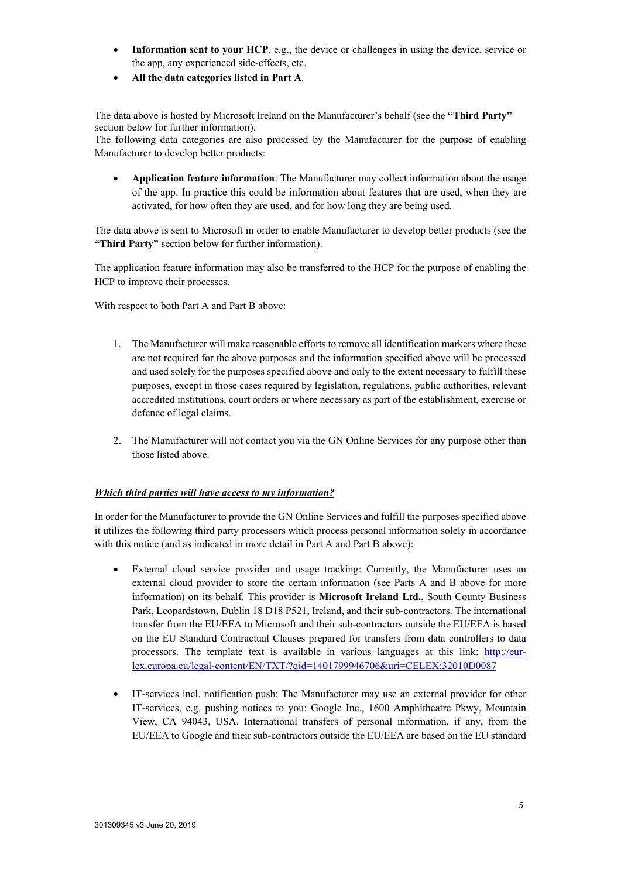- **Information sent to your HCP**, e.g., the device or challenges in using the device, service or the app, any experienced side-effects, etc.
- **All the data categories listed in Part A**.

The data above is hosted by Microsoft Ireland on the Manufacturer's behalf (see the **"Third Party"**  section below for further information).

The following data categories are also processed by the Manufacturer for the purpose of enabling Manufacturer to develop better products:

• **Application feature information**: The Manufacturer may collect information about the usage of the app. In practice this could be information about features that are used, when they are activated, for how often they are used, and for how long they are being used.

The data above is sent to Microsoft in order to enable Manufacturer to develop better products (see the **"Third Party"** section below for further information).

The application feature information may also be transferred to the HCP for the purpose of enabling the HCP to improve their processes.

With respect to both Part A and Part B above:

- 1. The Manufacturer will make reasonable efforts to remove all identification markers where these are not required for the above purposes and the information specified above will be processed and used solely for the purposes specified above and only to the extent necessary to fulfill these purposes, except in those cases required by legislation, regulations, public authorities, relevant accredited institutions, court orders or where necessary as part of the establishment, exercise or defence of legal claims.
- 2. The Manufacturer will not contact you via the GN Online Services for any purpose other than those listed above.

# *Which third parties will have access to my information?*

In order for the Manufacturer to provide the GN Online Services and fulfill the purposes specified above it utilizes the following third party processors which process personal information solely in accordance with this notice (and as indicated in more detail in Part A and Part B above):

- External cloud service provider and usage tracking: Currently, the Manufacturer uses an external cloud provider to store the certain information (see Parts A and B above for more information) on its behalf. This provider is **Microsoft Ireland Ltd.**, South County Business Park, Leopardstown, Dublin 18 D18 P521, Ireland, and their sub-contractors. The international transfer from the EU/EEA to Microsoft and their sub-contractors outside the EU/EEA is based on the EU Standard Contractual Clauses prepared for transfers from data controllers to data processors. The template text is available in various languages at this link: [http://eur](http://eur-lex.europa.eu/legal-content/EN/TXT/?qid=1401799946706&uri=CELEX:32010D0087)[lex.europa.eu/legal-content/EN/TXT/?qid=1401799946706&uri=CELEX:32010D0087](http://eur-lex.europa.eu/legal-content/EN/TXT/?qid=1401799946706&uri=CELEX:32010D0087)
- IT-services incl. notification push: The Manufacturer may use an external provider for other IT-services, e.g. pushing notices to you: Google Inc., 1600 Amphitheatre Pkwy, Mountain View, CA 94043, USA. International transfers of personal information, if any, from the EU/EEA to Google and their sub-contractors outside the EU/EEA are based on the EU standard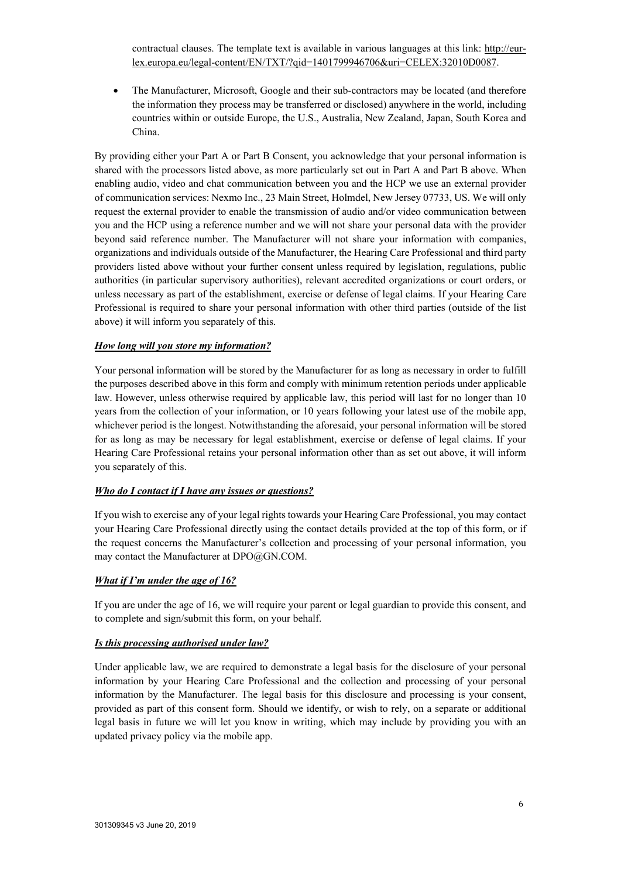contractual clauses. The template text is available in various languages at this link: [http://eur](http://eur-lex.europa.eu/legal-content/EN/TXT/?qid=1401799946706&uri=CELEX:32010D0087)[lex.europa.eu/legal-content/EN/TXT/?qid=1401799946706&uri=CELEX:32010D0087.](http://eur-lex.europa.eu/legal-content/EN/TXT/?qid=1401799946706&uri=CELEX:32010D0087)

• The Manufacturer, Microsoft, Google and their sub-contractors may be located (and therefore the information they process may be transferred or disclosed) anywhere in the world, including countries within or outside Europe, the U.S., Australia, New Zealand, Japan, South Korea and China.

By providing either your Part A or Part B Consent, you acknowledge that your personal information is shared with the processors listed above, as more particularly set out in Part A and Part B above. When enabling audio, video and chat communication between you and the HCP we use an external provider of communication services: Nexmo Inc., 23 Main Street, Holmdel, New Jersey 07733, US. We will only request the external provider to enable the transmission of audio and/or video communication between you and the HCP using a reference number and we will not share your personal data with the provider beyond said reference number. The Manufacturer will not share your information with companies, organizations and individuals outside of the Manufacturer, the Hearing Care Professional and third party providers listed above without your further consent unless required by legislation, regulations, public authorities (in particular supervisory authorities), relevant accredited organizations or court orders, or unless necessary as part of the establishment, exercise or defense of legal claims. If your Hearing Care Professional is required to share your personal information with other third parties (outside of the list above) it will inform you separately of this.

## *How long will you store my information?*

Your personal information will be stored by the Manufacturer for as long as necessary in order to fulfill the purposes described above in this form and comply with minimum retention periods under applicable law. However, unless otherwise required by applicable law, this period will last for no longer than 10 years from the collection of your information, or 10 years following your latest use of the mobile app, whichever period is the longest. Notwithstanding the aforesaid, your personal information will be stored for as long as may be necessary for legal establishment, exercise or defense of legal claims. If your Hearing Care Professional retains your personal information other than as set out above, it will inform you separately of this.

### *Who do I contact if I have any issues or questions?*

If you wish to exercise any of your legal rights towards your Hearing Care Professional, you may contact your Hearing Care Professional directly using the contact details provided at the top of this form, or if the request concerns the Manufacturer's collection and processing of your personal information, you may contact the Manufacturer at DPO@GN.COM.

### *What if I'm under the age of 16?*

If you are under the age of 16, we will require your parent or legal guardian to provide this consent, and to complete and sign/submit this form, on your behalf.

### *Is this processing authorised under law?*

Under applicable law, we are required to demonstrate a legal basis for the disclosure of your personal information by your Hearing Care Professional and the collection and processing of your personal information by the Manufacturer. The legal basis for this disclosure and processing is your consent, provided as part of this consent form. Should we identify, or wish to rely, on a separate or additional legal basis in future we will let you know in writing, which may include by providing you with an updated privacy policy via the mobile app.